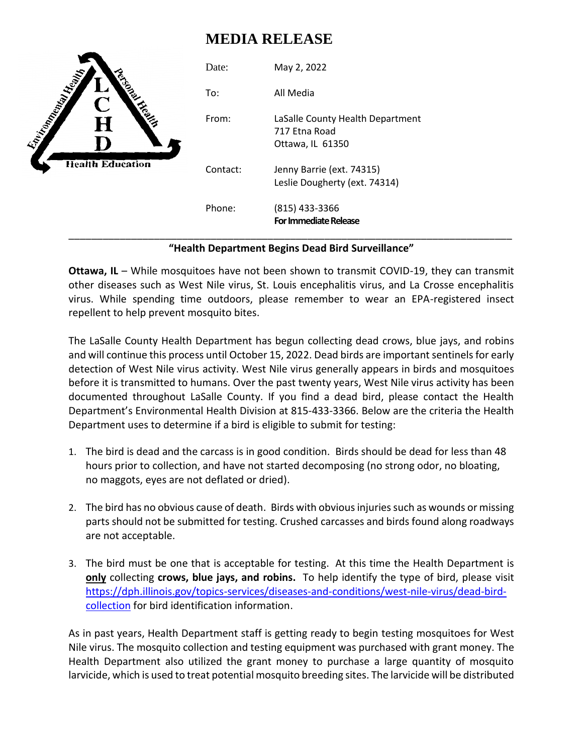## **MEDIA RELEASE**

|                                                                                                                                                                               | Date:    | May 2, 2022                                                           |
|-------------------------------------------------------------------------------------------------------------------------------------------------------------------------------|----------|-----------------------------------------------------------------------|
| <b>Engineering Contract on Contract on Contract on Contract on Contract on Contract on Contract on Contract on Co</b><br>Ċ<br>CONS<br>$\bf H$<br>D<br><b>Health Education</b> | To:      | All Media                                                             |
|                                                                                                                                                                               | From:    | LaSalle County Health Department<br>717 Etna Road<br>Ottawa, IL 61350 |
|                                                                                                                                                                               | Contact: | Jenny Barrie (ext. 74315)<br>Leslie Dougherty (ext. 74314)            |
|                                                                                                                                                                               | Phone:   | (815) 433-3366<br><b>For Immediate Release</b>                        |

## **"Health Department Begins Dead Bird Surveillance"**

**Ottawa, IL** – While mosquitoes have not been shown to transmit COVID-19, they can transmit other diseases such as West Nile virus, St. Louis encephalitis virus, and La Crosse encephalitis virus. While spending time outdoors, please remember to wear an EPA-registered insect repellent to help prevent mosquito bites.

The LaSalle County Health Department has begun collecting dead crows, blue jays, and robins and will continue this process until October 15, 2022. Dead birds are important sentinels for early detection of West Nile virus activity. West Nile virus generally appears in birds and mosquitoes before it is transmitted to humans. Over the past twenty years, West Nile virus activity has been documented throughout LaSalle County. If you find a dead bird, please contact the Health Department's Environmental Health Division at 815-433-3366. Below are the criteria the Health Department uses to determine if a bird is eligible to submit for testing:

- 1. The bird is dead and the carcass is in good condition. Birds should be dead for less than 48 hours prior to collection, and have not started decomposing (no strong odor, no bloating, no maggots, eyes are not deflated or dried).
- 2. The bird has no obvious cause of death. Birds with obvious injuries such as wounds or missing parts should not be submitted for testing. Crushed carcasses and birds found along roadways are not acceptable.
- 3. The bird must be one that is acceptable for testing. At this time the Health Department is **only** collecting **crows, blue jays, and robins.** To help identify the type of bird, please visit [https://dph.illinois.gov/topics-services/diseases-and-conditions/west-nile-virus/dead-bird](https://dph.illinois.gov/topics-services/diseases-and-conditions/west-nile-virus/dead-bird-collection)[collection](https://dph.illinois.gov/topics-services/diseases-and-conditions/west-nile-virus/dead-bird-collection) for bird identification information.

As in past years, Health Department staff is getting ready to begin testing mosquitoes for West Nile virus. The mosquito collection and testing equipment was purchased with grant money. The Health Department also utilized the grant money to purchase a large quantity of mosquito larvicide, which is used to treat potential mosquito breeding sites. The larvicide will be distributed